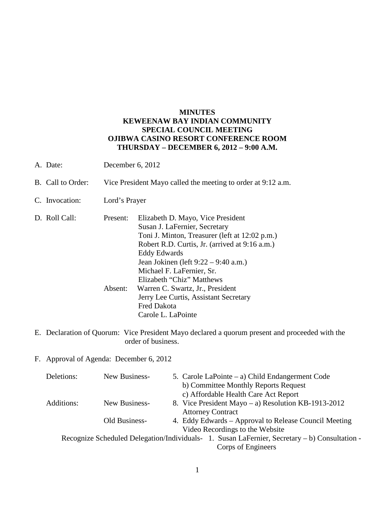## **MINUTES KEWEENAW BAY INDIAN COMMUNITY SPECIAL COUNCIL MEETING OJIBWA CASINO RESORT CONFERENCE ROOM THURSDAY – DECEMBER 6, 2012 – 9:00 A.M.**

- A. Date: December 6, 2012
- B. Call to Order: Vice President Mayo called the meeting to order at 9:12 a.m.
- C. Invocation: Lord's Prayer

| D. Roll Call: | Present: | Elizabeth D. Mayo, Vice President              |
|---------------|----------|------------------------------------------------|
|               |          | Susan J. LaFernier, Secretary                  |
|               |          | Toni J. Minton, Treasurer (left at 12:02 p.m.) |
|               |          | Robert R.D. Curtis, Jr. (arrived at 9:16 a.m.) |
|               |          | <b>Eddy Edwards</b>                            |
|               |          | Jean Jokinen (left 9:22 – 9:40 a.m.)           |
|               |          | Michael F. LaFernier, Sr.                      |
|               |          | Elizabeth "Chiz" Matthews                      |
|               | Absent:  | Warren C. Swartz, Jr., President               |
|               |          | Jerry Lee Curtis, Assistant Secretary          |
|               |          | Fred Dakota                                    |
|               |          | Carole L. LaPointe                             |

- E. Declaration of Quorum: Vice President Mayo declared a quorum present and proceeded with the order of business.
- F. Approval of Agenda: December 6, 2012

| Deletions: | New Business- | 5. Carole LaPointe $-$ a) Child Endangerment Code                                             |
|------------|---------------|-----------------------------------------------------------------------------------------------|
|            |               | b) Committee Monthly Reports Request                                                          |
|            |               | c) Affordable Health Care Act Report                                                          |
| Additions: | New Business- | 8. Vice President Mayo – a) Resolution KB-1913-2012                                           |
|            |               | <b>Attorney Contract</b>                                                                      |
|            | Old Business- | 4. Eddy Edwards – Approval to Release Council Meeting                                         |
|            |               | Video Recordings to the Website                                                               |
|            |               | Recognize Scheduled Delegation/Individuals- 1. Susan LaFernier, Secretary – b) Consultation - |
|            |               | Corps of Engineers                                                                            |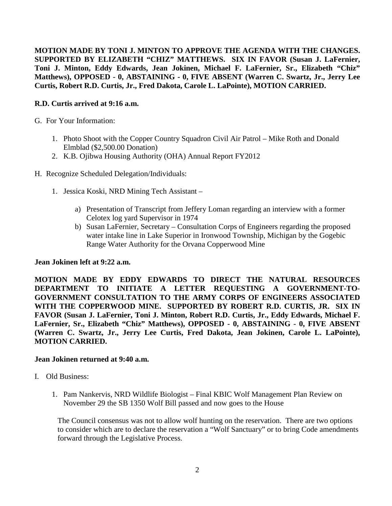**MOTION MADE BY TONI J. MINTON TO APPROVE THE AGENDA WITH THE CHANGES. SUPPORTED BY ELIZABETH "CHIZ" MATTHEWS. SIX IN FAVOR (Susan J. LaFernier, Toni J. Minton, Eddy Edwards, Jean Jokinen, Michael F. LaFernier, Sr., Elizabeth "Chiz" Matthews), OPPOSED - 0, ABSTAINING - 0, FIVE ABSENT (Warren C. Swartz, Jr., Jerry Lee Curtis, Robert R.D. Curtis, Jr., Fred Dakota, Carole L. LaPointe), MOTION CARRIED.**

## **R.D. Curtis arrived at 9:16 a.m.**

- G. For Your Information:
	- 1. Photo Shoot with the Copper Country Squadron Civil Air Patrol Mike Roth and Donald Elmblad (\$2,500.00 Donation)
	- 2. K.B. Ojibwa Housing Authority (OHA) Annual Report FY2012
- H. Recognize Scheduled Delegation/Individuals:
	- 1. Jessica Koski, NRD Mining Tech Assistant
		- a) Presentation of Transcript from Jeffery Loman regarding an interview with a former Celotex log yard Supervisor in 1974
		- b) Susan LaFernier, Secretary Consultation Corps of Engineers regarding the proposed water intake line in Lake Superior in Ironwood Township, Michigan by the Gogebic Range Water Authority for the Orvana Copperwood Mine

#### **Jean Jokinen left at 9:22 a.m.**

**MOTION MADE BY EDDY EDWARDS TO DIRECT THE NATURAL RESOURCES DEPARTMENT TO INITIATE A LETTER REQUESTING A GOVERNMENT-TO-GOVERNMENT CONSULTATION TO THE ARMY CORPS OF ENGINEERS ASSOCIATED WITH THE COPPERWOOD MINE. SUPPORTED BY ROBERT R.D. CURTIS, JR. SIX IN FAVOR (Susan J. LaFernier, Toni J. Minton, Robert R.D. Curtis, Jr., Eddy Edwards, Michael F. LaFernier, Sr., Elizabeth "Chiz" Matthews), OPPOSED - 0, ABSTAINING - 0, FIVE ABSENT (Warren C. Swartz, Jr., Jerry Lee Curtis, Fred Dakota, Jean Jokinen, Carole L. LaPointe), MOTION CARRIED.**

#### **Jean Jokinen returned at 9:40 a.m.**

- I. Old Business:
	- 1. Pam Nankervis, NRD Wildlife Biologist Final KBIC Wolf Management Plan Review on November 29 the SB 1350 Wolf Bill passed and now goes to the House

The Council consensus was not to allow wolf hunting on the reservation. There are two options to consider which are to declare the reservation a "Wolf Sanctuary" or to bring Code amendments forward through the Legislative Process.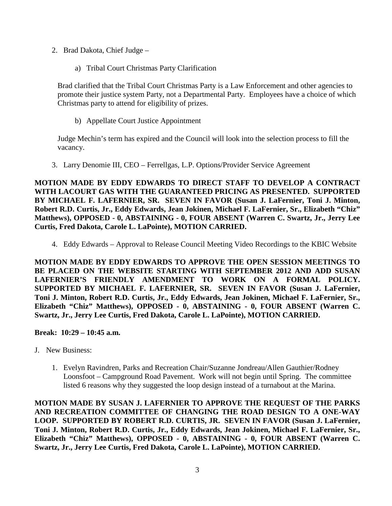- 2. Brad Dakota, Chief Judge
	- a) Tribal Court Christmas Party Clarification

Brad clarified that the Tribal Court Christmas Party is a Law Enforcement and other agencies to promote their justice system Party, not a Departmental Party. Employees have a choice of which Christmas party to attend for eligibility of prizes.

b) Appellate Court Justice Appointment

Judge Mechin's term has expired and the Council will look into the selection process to fill the vacancy.

3. Larry Denomie III, CEO – Ferrellgas, L.P. Options/Provider Service Agreement

**MOTION MADE BY EDDY EDWARDS TO DIRECT STAFF TO DEVELOP A CONTRACT WITH LACOURT GAS WITH THE GUARANTEED PRICING AS PRESENTED. SUPPORTED BY MICHAEL F. LAFERNIER, SR. SEVEN IN FAVOR (Susan J. LaFernier, Toni J. Minton, Robert R.D. Curtis, Jr., Eddy Edwards, Jean Jokinen, Michael F. LaFernier, Sr., Elizabeth "Chiz" Matthews), OPPOSED - 0, ABSTAINING - 0, FOUR ABSENT (Warren C. Swartz, Jr., Jerry Lee Curtis, Fred Dakota, Carole L. LaPointe), MOTION CARRIED.**

4. Eddy Edwards – Approval to Release Council Meeting Video Recordings to the KBIC Website

**MOTION MADE BY EDDY EDWARDS TO APPROVE THE OPEN SESSION MEETINGS TO BE PLACED ON THE WEBSITE STARTING WITH SEPTEMBER 2012 AND ADD SUSAN LAFERNIER'S FRIENDLY AMENDMENT TO WORK ON A FORMAL POLICY. SUPPORTED BY MICHAEL F. LAFERNIER, SR. SEVEN IN FAVOR (Susan J. LaFernier, Toni J. Minton, Robert R.D. Curtis, Jr., Eddy Edwards, Jean Jokinen, Michael F. LaFernier, Sr., Elizabeth "Chiz" Matthews), OPPOSED - 0, ABSTAINING - 0, FOUR ABSENT (Warren C. Swartz, Jr., Jerry Lee Curtis, Fred Dakota, Carole L. LaPointe), MOTION CARRIED.**

#### **Break: 10:29 – 10:45 a.m.**

- J. New Business:
	- 1. Evelyn Ravindren, Parks and Recreation Chair/Suzanne Jondreau/Allen Gauthier/Rodney Loonsfoot – Campground Road Pavement. Work will not begin until Spring. The committee listed 6 reasons why they suggested the loop design instead of a turnabout at the Marina.

**MOTION MADE BY SUSAN J. LAFERNIER TO APPROVE THE REQUEST OF THE PARKS AND RECREATION COMMITTEE OF CHANGING THE ROAD DESIGN TO A ONE-WAY LOOP. SUPPORTED BY ROBERT R.D. CURTIS, JR. SEVEN IN FAVOR (Susan J. LaFernier, Toni J. Minton, Robert R.D. Curtis, Jr., Eddy Edwards, Jean Jokinen, Michael F. LaFernier, Sr., Elizabeth "Chiz" Matthews), OPPOSED - 0, ABSTAINING - 0, FOUR ABSENT (Warren C. Swartz, Jr., Jerry Lee Curtis, Fred Dakota, Carole L. LaPointe), MOTION CARRIED.**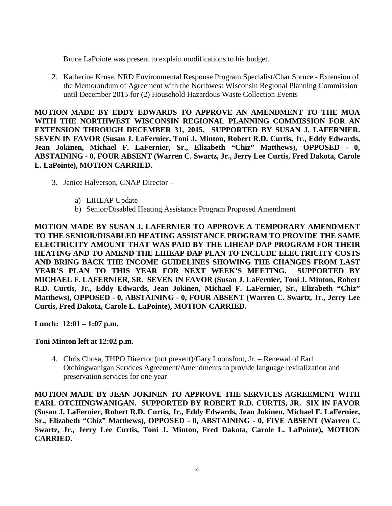Bruce LaPointe was present to explain modifications to his budget.

2. Katherine Kruse, NRD Environmental Response Program Specialist/Char Spruce - Extension of the Memorandum of Agreement with the Northwest Wisconsin Regional Planning Commission until December 2015 for (2) Household Hazardous Waste Collection Events

**MOTION MADE BY EDDY EDWARDS TO APPROVE AN AMENDMENT TO THE MOA WITH THE NORTHWEST WISCONSIN REGIONAL PLANNING COMMISSION FOR AN EXTENSION THROUGH DECEMBER 31, 2015. SUPPORTED BY SUSAN J. LAFERNIER. SEVEN IN FAVOR (Susan J. LaFernier, Toni J. Minton, Robert R.D. Curtis, Jr., Eddy Edwards, Jean Jokinen, Michael F. LaFernier, Sr., Elizabeth "Chiz" Matthews), OPPOSED - 0, ABSTAINING - 0, FOUR ABSENT (Warren C. Swartz, Jr., Jerry Lee Curtis, Fred Dakota, Carole L. LaPointe), MOTION CARRIED.**

- 3. Janice Halverson, CNAP Director
	- a) LIHEAP Update
	- b) Senior/Disabled Heating Assistance Program Proposed Amendment

**MOTION MADE BY SUSAN J. LAFERNIER TO APPROVE A TEMPORARY AMENDMENT TO THE SENIOR/DISABLED HEATING ASSISTANCE PROGRAM TO PROVIDE THE SAME ELECTRICITY AMOUNT THAT WAS PAID BY THE LIHEAP DAP PROGRAM FOR THEIR HEATING AND TO AMEND THE LIHEAP DAP PLAN TO INCLUDE ELECTRICITY COSTS AND BRING BACK THE INCOME GUIDELINES SHOWING THE CHANGES FROM LAST YEAR'S PLAN TO THIS YEAR FOR NEXT WEEK'S MEETING. SUPPORTED BY MICHAEL F. LAFERNIER, SR. SEVEN IN FAVOR (Susan J. LaFernier, Toni J. Minton, Robert R.D. Curtis, Jr., Eddy Edwards, Jean Jokinen, Michael F. LaFernier, Sr., Elizabeth "Chiz" Matthews), OPPOSED - 0, ABSTAINING - 0, FOUR ABSENT (Warren C. Swartz, Jr., Jerry Lee Curtis, Fred Dakota, Carole L. LaPointe), MOTION CARRIED.**

**Lunch: 12:01 – 1:07 p.m.** 

#### **Toni Minton left at 12:02 p.m.**

4. Chris Chosa, THPO Director (not present)/Gary Loonsfoot, Jr. – Renewal of Earl Otchingwanigan Services Agreement/Amendments to provide language revitalization and preservation services for one year

**MOTION MADE BY JEAN JOKINEN TO APPROVE THE SERVICES AGREEMENT WITH EARL OTCHINGWANIGAN. SUPPORTED BY ROBERT R.D. CURTIS, JR. SIX IN FAVOR (Susan J. LaFernier, Robert R.D. Curtis, Jr., Eddy Edwards, Jean Jokinen, Michael F. LaFernier, Sr., Elizabeth "Chiz" Matthews), OPPOSED - 0, ABSTAINING - 0, FIVE ABSENT (Warren C. Swartz, Jr., Jerry Lee Curtis, Toni J. Minton, Fred Dakota, Carole L. LaPointe), MOTION CARRIED.**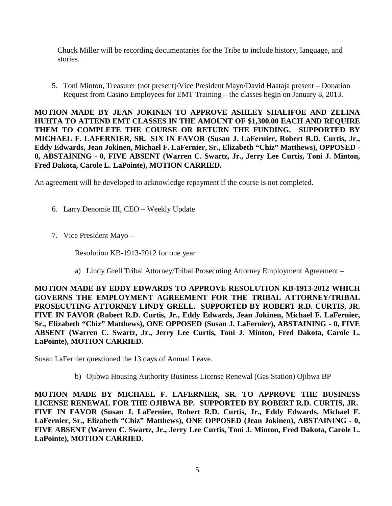Chuck Miller will be recording documentaries for the Tribe to include history, language, and stories.

5. Toni Minton, Treasurer (not present)/Vice President Mayo/David Haataja present – Donation Request from Casino Employees for EMT Training – the classes begin on January 8, 2013.

**MOTION MADE BY JEAN JOKINEN TO APPROVE ASHLEY SHALIFOE AND ZELINA HUHTA TO ATTEND EMT CLASSES IN THE AMOUNT OF \$1,300.00 EACH AND REQUIRE THEM TO COMPLETE THE COURSE OR RETURN THE FUNDING. SUPPORTED BY MICHAEL F. LAFERNIER, SR. SIX IN FAVOR (Susan J. LaFernier, Robert R.D. Curtis, Jr., Eddy Edwards, Jean Jokinen, Michael F. LaFernier, Sr., Elizabeth "Chiz" Matthews), OPPOSED - 0, ABSTAINING - 0, FIVE ABSENT (Warren C. Swartz, Jr., Jerry Lee Curtis, Toni J. Minton, Fred Dakota, Carole L. LaPointe), MOTION CARRIED.**

An agreement will be developed to acknowledge repayment if the course is not completed.

- 6. Larry Denomie III, CEO Weekly Update
- 7. Vice President Mayo –

Resolution KB-1913-2012 for one year

a) Lindy Grell Tribal Attorney/Tribal Prosecuting Attorney Employment Agreement –

**MOTION MADE BY EDDY EDWARDS TO APPROVE RESOLUTION KB-1913-2012 WHICH GOVERNS THE EMPLOYMENT AGREEMENT FOR THE TRIBAL ATTORNEY/TRIBAL PROSECUTING ATTORNEY LINDY GRELL. SUPPORTED BY ROBERT R.D. CURTIS, JR. FIVE IN FAVOR (Robert R.D. Curtis, Jr., Eddy Edwards, Jean Jokinen, Michael F. LaFernier, Sr., Elizabeth "Chiz" Matthews), ONE OPPOSED (Susan J. LaFernier), ABSTAINING - 0, FIVE ABSENT (Warren C. Swartz, Jr., Jerry Lee Curtis, Toni J. Minton, Fred Dakota, Carole L. LaPointe), MOTION CARRIED.**

Susan LaFernier questioned the 13 days of Annual Leave.

b) Ojibwa Housing Authority Business License Renewal (Gas Station) Ojibwa BP

**MOTION MADE BY MICHAEL F. LAFERNIER, SR. TO APPROVE THE BUSINESS LICENSE RENEWAL FOR THE OJIBWA BP. SUPPORTED BY ROBERT R.D. CURTIS, JR. FIVE IN FAVOR (Susan J. LaFernier, Robert R.D. Curtis, Jr., Eddy Edwards, Michael F. LaFernier, Sr., Elizabeth "Chiz" Matthews), ONE OPPOSED (Jean Jokinen), ABSTAINING - 0, FIVE ABSENT (Warren C. Swartz, Jr., Jerry Lee Curtis, Toni J. Minton, Fred Dakota, Carole L. LaPointe), MOTION CARRIED.**